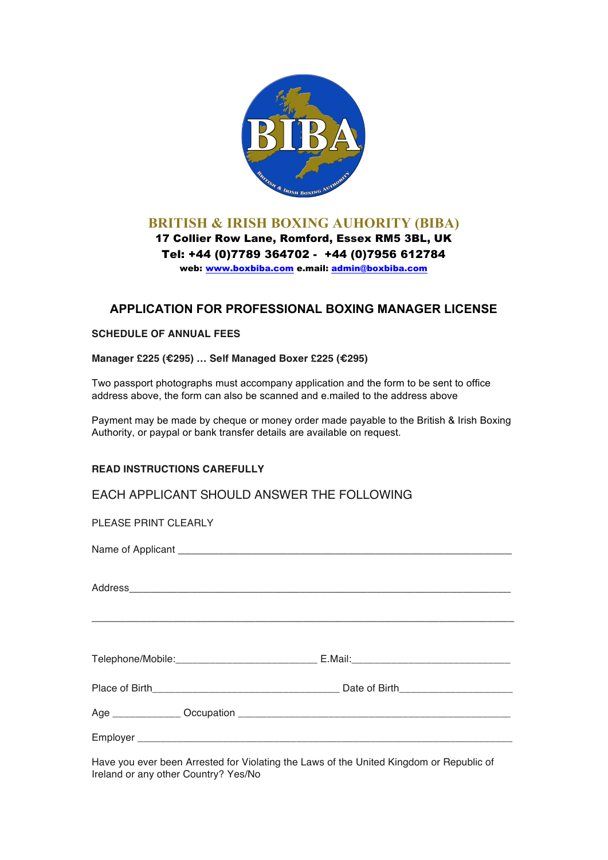

## **BRITISH & IRISH BOXING AUHORITY (BIBA)**

17 Collier Row Lane, Romford, Essex RM5 3BL, UK Tel: +44 (0)7789 364702 - +44 (0)7956 612784 web: www.boxbiba.com e.mail: admin@boxbiba.com

## **APPLICATION FOR PROFESSIONAL BOXING MANAGER LICENSE**

## **SCHEDULE OF ANNUAL FEES**

**Manager £225 (€295) … Self Managed Boxer £225 (€295)**

Two passport photographs must accompany application and the form to be sent to office address above, the form can also be scanned and e.mailed to the address above

Payment may be made by cheque or money order made payable to the British & Irish Boxing Authority, or paypal or bank transfer details are available on request.

## **READ INSTRUCTIONS CAREFULLY**

EACH APPLICANT SHOULD ANSWER THE FOLLOWING

| PLEASE PRINT CLEARLY |                                                                                                                                                                                                                                   |  |
|----------------------|-----------------------------------------------------------------------------------------------------------------------------------------------------------------------------------------------------------------------------------|--|
|                      |                                                                                                                                                                                                                                   |  |
|                      |                                                                                                                                                                                                                                   |  |
|                      |                                                                                                                                                                                                                                   |  |
|                      |                                                                                                                                                                                                                                   |  |
|                      |                                                                                                                                                                                                                                   |  |
|                      |                                                                                                                                                                                                                                   |  |
|                      | $\mathbf{r}$ . The contract of the contract of the contract of the contract of the contract of the contract of the contract of the contract of the contract of the contract of the contract of the contract of the contract of th |  |

Have you ever been Arrested for Violating the Laws of the United Kingdom or Republic of Ireland or any other Country? Yes/No